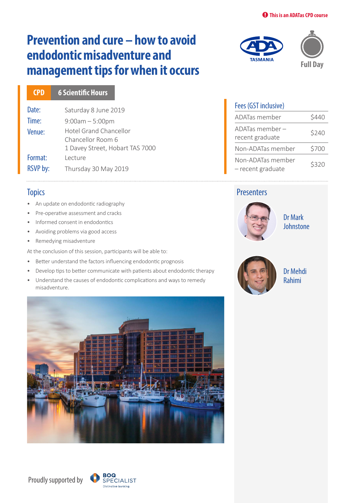# **Prevention and cure – how to avoid endodontic misadventure and management tips for when it occurs**

Date: Saturday 8 June 2019 Time: 9:00am – 5:00pm Venue: Hotel Grand Chancellor Chancellor Room 6 1 Davey Street, Hobart TAS 7000 Format: Lecture RSVP by: Thursday 30 May 2019 **CPD 6 Scientific Hours**

### **Topics**

- An update on endodontic radiography
- Pre-operative assessment and cracks
- Informed consent in endodontics
- Avoiding problems via good access
- Remedying misadventure

At the conclusion of this session, participants will be able to:

- Better understand the factors influencing endodontic prognosis
- Develop tips to better communicate with patients about endodontic therapy
- Understand the causes of endodontic complications and ways to remedy misadventure.





## Fees (GST inclusive) ADATas member \$440 ADATas member – recent graduate \$240 Non-ADATas member \$700 Non-ADATas member  $\frac{1}{2}$  – recent graduate  $\frac{1}{2}$  \$320

### **Presenters**



Dr Mark **Johnstone** 



Dr Mehdi Rahimi

Proudly supported by